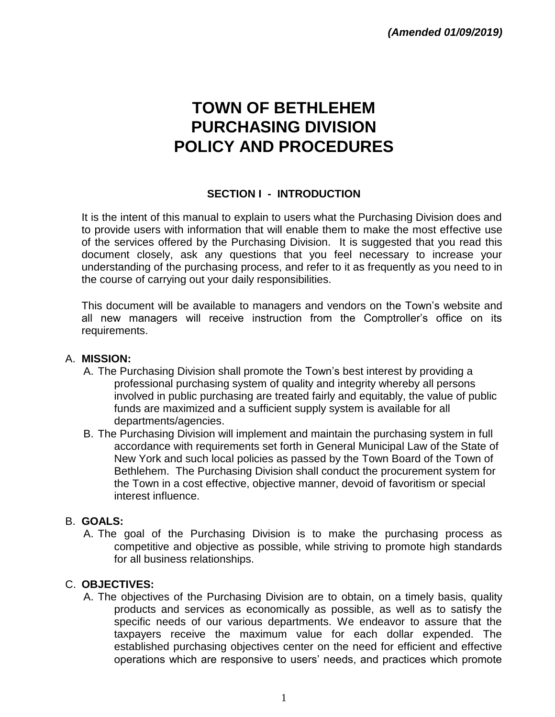# **TOWN OF BETHLEHEM PURCHASING DIVISION POLICY AND PROCEDURES**

## **SECTION I - INTRODUCTION**

It is the intent of this manual to explain to users what the Purchasing Division does and to provide users with information that will enable them to make the most effective use of the services offered by the Purchasing Division.It is suggested that you read this document closely, ask any questions that you feel necessary to increase your understanding of the purchasing process, and refer to it as frequently as you need to in the course of carrying out your daily responsibilities.

This document will be available to managers and vendors on the Town's website and all new managers will receive instruction from the Comptroller's office on its requirements.

#### A. **MISSION:**

- A. The Purchasing Division shall promote the Town's best interest by providing a professional purchasing system of quality and integrity whereby all persons involved in public purchasing are treated fairly and equitably, the value of public funds are maximized and a sufficient supply system is available for all departments/agencies.
- B. The Purchasing Division will implement and maintain the purchasing system in full accordance with requirements set forth in General Municipal Law of the State of New York and such local policies as passed by the Town Board of the Town of Bethlehem. The Purchasing Division shall conduct the procurement system for the Town in a cost effective, objective manner, devoid of favoritism or special interest influence.

#### B. **GOALS:**

A. The goal of the Purchasing Division is to make the purchasing process as competitive and objective as possible, while striving to promote high standards for all business relationships.

#### C. **OBJECTIVES:**

A. The objectives of the Purchasing Division are to obtain, on a timely basis, quality products and services as economically as possible, as well as to satisfy the specific needs of our various departments. We endeavor to assure that the taxpayers receive the maximum value for each dollar expended. The established purchasing objectives center on the need for efficient and effective operations which are responsive to users' needs, and practices which promote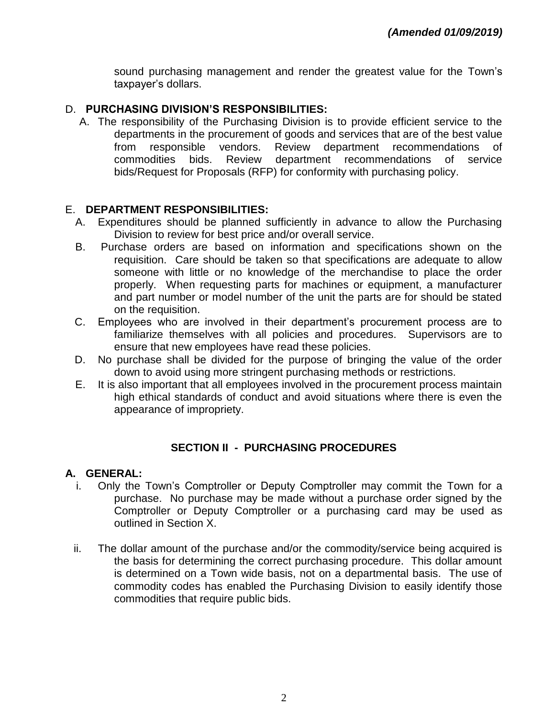sound purchasing management and render the greatest value for the Town's taxpayer's dollars.

#### D. **PURCHASING DIVISION'S RESPONSIBILITIES:**

A. The responsibility of the Purchasing Division is to provide efficient service to the departments in the procurement of goods and services that are of the best value from responsible vendors. Review department recommendations of commodities bids. Review department recommendations of service bids/Request for Proposals (RFP) for conformity with purchasing policy.

#### E. **DEPARTMENT RESPONSIBILITIES:**

- A. Expenditures should be planned sufficiently in advance to allow the Purchasing Division to review for best price and/or overall service.
- B. Purchase orders are based on information and specifications shown on the requisition. Care should be taken so that specifications are adequate to allow someone with little or no knowledge of the merchandise to place the order properly. When requesting parts for machines or equipment, a manufacturer and part number or model number of the unit the parts are for should be stated on the requisition.
- C. Employees who are involved in their department's procurement process are to familiarize themselves with all policies and procedures. Supervisors are to ensure that new employees have read these policies.
- D. No purchase shall be divided for the purpose of bringing the value of the order down to avoid using more stringent purchasing methods or restrictions.
- E. It is also important that all employees involved in the procurement process maintain high ethical standards of conduct and avoid situations where there is even the appearance of impropriety.

#### **SECTION II - PURCHASING PROCEDURES**

#### **A. GENERAL:**

- i. Only the Town's Comptroller or Deputy Comptroller may commit the Town for a purchase. No purchase may be made without a purchase order signed by the Comptroller or Deputy Comptroller or a purchasing card may be used as outlined in Section X.
- ii. The dollar amount of the purchase and/or the commodity/service being acquired is the basis for determining the correct purchasing procedure. This dollar amount is determined on a Town wide basis, not on a departmental basis. The use of commodity codes has enabled the Purchasing Division to easily identify those commodities that require public bids.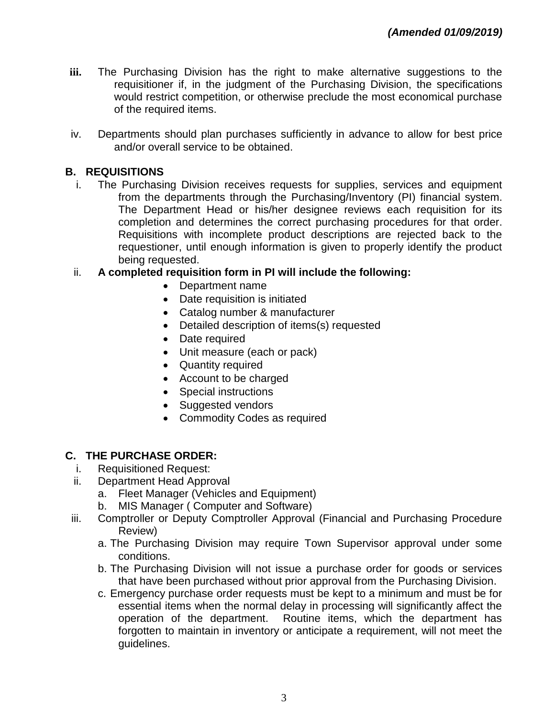- **iii.** The Purchasing Division has the right to make alternative suggestions to the requisitioner if, in the judgment of the Purchasing Division, the specifications would restrict competition, or otherwise preclude the most economical purchase of the required items.
- iv. Departments should plan purchases sufficiently in advance to allow for best price and/or overall service to be obtained.

## **B. REQUISITIONS**

- i. The Purchasing Division receives requests for supplies, services and equipment from the departments through the Purchasing/Inventory (PI) financial system. The Department Head or his/her designee reviews each requisition for its completion and determines the correct purchasing procedures for that order. Requisitions with incomplete product descriptions are rejected back to the requestioner, until enough information is given to properly identify the product being requested.
- ii. **A completed requisition form in PI will include the following:** 
	- Department name
	- Date requisition is initiated
	- Catalog number & manufacturer
	- Detailed description of items(s) requested
	- Date required
	- Unit measure (each or pack)
	- Quantity required
	- Account to be charged
	- Special instructions
	- Suggested vendors
	- Commodity Codes as required

## **C. THE PURCHASE ORDER:**

- i. Requisitioned Request:
- ii. Department Head Approval
	- a. Fleet Manager (Vehicles and Equipment)
	- b. MIS Manager ( Computer and Software)
- iii. Comptroller or Deputy Comptroller Approval (Financial and Purchasing Procedure Review)
	- a. The Purchasing Division may require Town Supervisor approval under some conditions.
	- b. The Purchasing Division will not issue a purchase order for goods or services that have been purchased without prior approval from the Purchasing Division.
	- c. Emergency purchase order requests must be kept to a minimum and must be for essential items when the normal delay in processing will significantly affect the operation of the department. Routine items, which the department has forgotten to maintain in inventory or anticipate a requirement, will not meet the guidelines.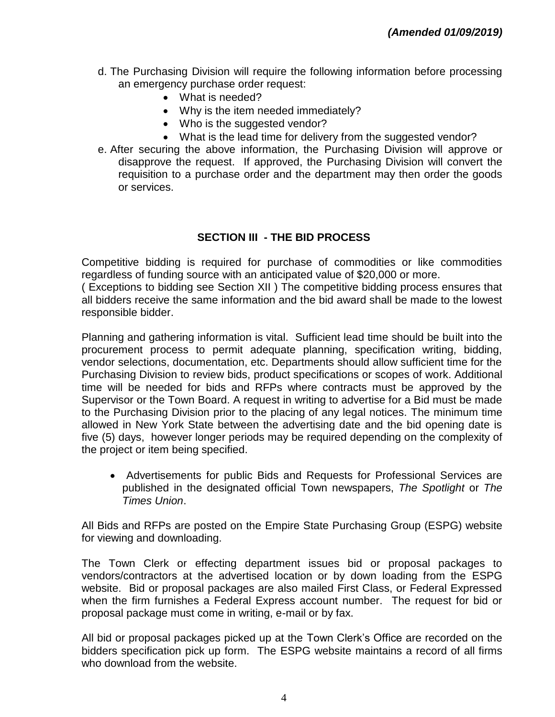- d. The Purchasing Division will require the following information before processing an emergency purchase order request:
	- What is needed?
	- Why is the item needed immediately?
	- Who is the suggested vendor?
	- What is the lead time for delivery from the suggested vendor?
- e. After securing the above information, the Purchasing Division will approve or disapprove the request. If approved, the Purchasing Division will convert the requisition to a purchase order and the department may then order the goods or services.

#### **SECTION III - THE BID PROCESS**

Competitive bidding is required for purchase of commodities or like commodities regardless of funding source with an anticipated value of \$20,000 or more.

( Exceptions to bidding see Section XII ) The competitive bidding process ensures that all bidders receive the same information and the bid award shall be made to the lowest responsible bidder.

Planning and gathering information is vital. Sufficient lead time should be built into the procurement process to permit adequate planning, specification writing, bidding, vendor selections, documentation, etc. Departments should allow sufficient time for the Purchasing Division to review bids, product specifications or scopes of work. Additional time will be needed for bids and RFPs where contracts must be approved by the Supervisor or the Town Board. A request in writing to advertise for a Bid must be made to the Purchasing Division prior to the placing of any legal notices. The minimum time allowed in New York State between the advertising date and the bid opening date is five (5) days, however longer periods may be required depending on the complexity of the project or item being specified.

 Advertisements for public Bids and Requests for Professional Services are published in the designated official Town newspapers, *The Spotlight* or *The Times Union*.

All Bids and RFPs are posted on the Empire State Purchasing Group (ESPG) website for viewing and downloading.

The Town Clerk or effecting department issues bid or proposal packages to vendors/contractors at the advertised location or by down loading from the ESPG website. Bid or proposal packages are also mailed First Class, or Federal Expressed when the firm furnishes a Federal Express account number. The request for bid or proposal package must come in writing, e-mail or by fax.

All bid or proposal packages picked up at the Town Clerk's Office are recorded on the bidders specification pick up form. The ESPG website maintains a record of all firms who download from the website.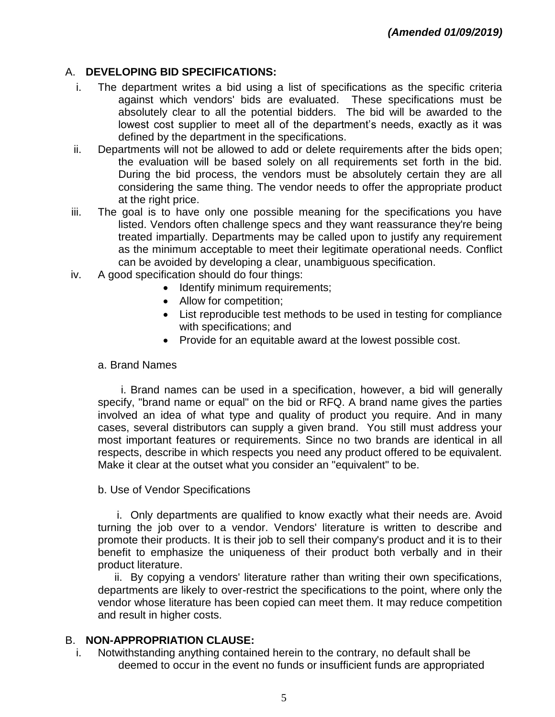## A. **DEVELOPING BID SPECIFICATIONS:**

- i. The department writes a bid using a list of specifications as the specific criteria against which vendors' bids are evaluated. These specifications must be absolutely clear to all the potential bidders. The bid will be awarded to the lowest cost supplier to meet all of the department's needs, exactly as it was defined by the department in the specifications.
- ii. Departments will not be allowed to add or delete requirements after the bids open; the evaluation will be based solely on all requirements set forth in the bid. During the bid process, the vendors must be absolutely certain they are all considering the same thing. The vendor needs to offer the appropriate product at the right price.
- iii. The goal is to have only one possible meaning for the specifications you have listed. Vendors often challenge specs and they want reassurance they're being treated impartially. Departments may be called upon to justify any requirement as the minimum acceptable to meet their legitimate operational needs. Conflict can be avoided by developing a clear, unambiguous specification.
- iv. A good specification should do four things:
	- Identify minimum requirements;
	- Allow for competition;
	- List reproducible test methods to be used in testing for compliance with specifications; and
	- Provide for an equitable award at the lowest possible cost.

#### a. Brand Names

i. Brand names can be used in a specification, however, a bid will generally specify, "brand name or equal" on the bid or RFQ. A brand name gives the parties involved an idea of what type and quality of product you require. And in many cases, several distributors can supply a given brand. You still must address your most important features or requirements. Since no two brands are identical in all respects, describe in which respects you need any product offered to be equivalent. Make it clear at the outset what you consider an "equivalent" to be.

#### b. Use of Vendor Specifications

i. Only departments are qualified to know exactly what their needs are. Avoid turning the job over to a vendor. Vendors' literature is written to describe and promote their products. It is their job to sell their company's product and it is to their benefit to emphasize the uniqueness of their product both verbally and in their product literature.

ii. By copying a vendors' literature rather than writing their own specifications, departments are likely to over-restrict the specifications to the point, where only the vendor whose literature has been copied can meet them. It may reduce competition and result in higher costs.

## B. **NON-APPROPRIATION CLAUSE:**

i. Notwithstanding anything contained herein to the contrary, no default shall be deemed to occur in the event no funds or insufficient funds are appropriated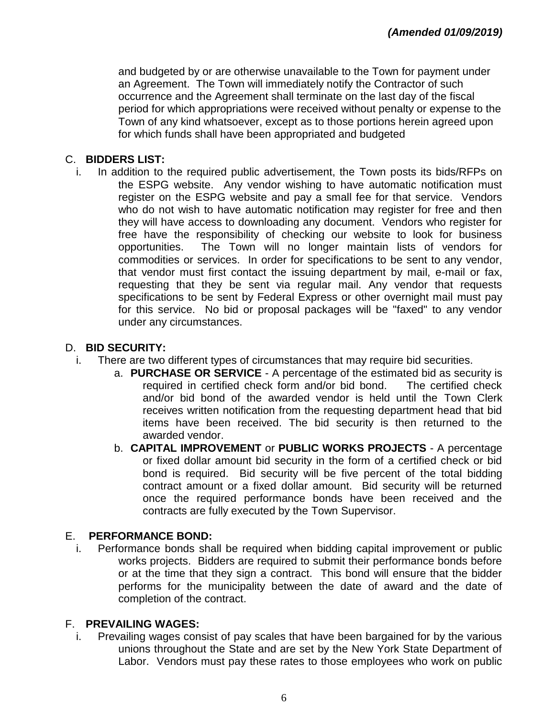and budgeted by or are otherwise unavailable to the Town for payment under an Agreement. The Town will immediately notify the Contractor of such occurrence and the Agreement shall terminate on the last day of the fiscal period for which appropriations were received without penalty or expense to the Town of any kind whatsoever, except as to those portions herein agreed upon for which funds shall have been appropriated and budgeted

### C. **BIDDERS LIST:**

i. In addition to the required public advertisement, the Town posts its bids/RFPs on the ESPG website. Any vendor wishing to have automatic notification must register on the ESPG website and pay a small fee for that service. Vendors who do not wish to have automatic notification may register for free and then they will have access to downloading any document. Vendors who register for free have the responsibility of checking our website to look for business opportunities. The Town will no longer maintain lists of vendors for commodities or services. In order for specifications to be sent to any vendor, that vendor must first contact the issuing department by mail, e-mail or fax, requesting that they be sent via regular mail. Any vendor that requests specifications to be sent by Federal Express or other overnight mail must pay for this service. No bid or proposal packages will be "faxed" to any vendor under any circumstances.

#### D. **BID SECURITY:**

- i. There are two different types of circumstances that may require bid securities.
	- a. **PURCHASE OR SERVICE** A percentage of the estimated bid as security is required in certified check form and/or bid bond. The certified check and/or bid bond of the awarded vendor is held until the Town Clerk receives written notification from the requesting department head that bid items have been received. The bid security is then returned to the awarded vendor.
	- b. **CAPITAL IMPROVEMENT** or **PUBLIC WORKS PROJECTS** A percentage or fixed dollar amount bid security in the form of a certified check or bid bond is required. Bid security will be five percent of the total bidding contract amount or a fixed dollar amount. Bid security will be returned once the required performance bonds have been received and the contracts are fully executed by the Town Supervisor.

## E. **PERFORMANCE BOND:**

i. Performance bonds shall be required when bidding capital improvement or public works projects. Bidders are required to submit their performance bonds before or at the time that they sign a contract. This bond will ensure that the bidder performs for the municipality between the date of award and the date of completion of the contract.

## F. **PREVAILING WAGES:**

i. Prevailing wages consist of pay scales that have been bargained for by the various unions throughout the State and are set by the New York State Department of Labor. Vendors must pay these rates to those employees who work on public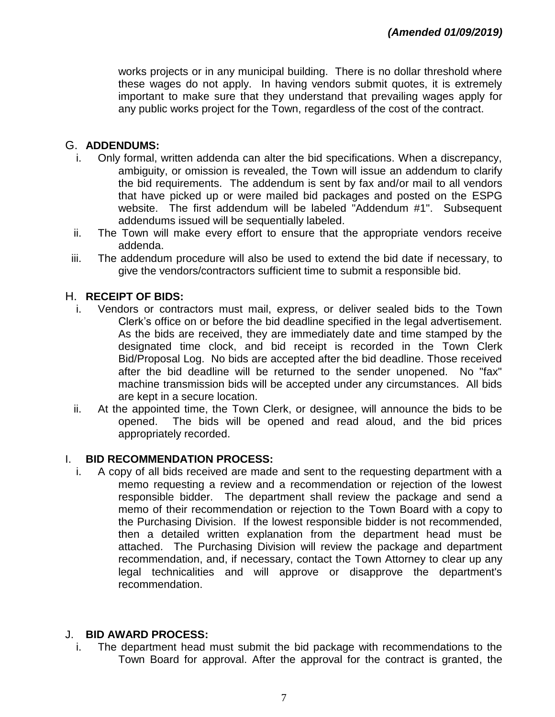works projects or in any municipal building. There is no dollar threshold where these wages do not apply. In having vendors submit quotes, it is extremely important to make sure that they understand that prevailing wages apply for any public works project for the Town, regardless of the cost of the contract.

## G. **ADDENDUMS:**

- i. Only formal, written addenda can alter the bid specifications. When a discrepancy, ambiguity, or omission is revealed, the Town will issue an addendum to clarify the bid requirements. The addendum is sent by fax and/or mail to all vendors that have picked up or were mailed bid packages and posted on the ESPG website. The first addendum will be labeled "Addendum #1". Subsequent addendums issued will be sequentially labeled.
- ii. The Town will make every effort to ensure that the appropriate vendors receive addenda.
- iii. The addendum procedure will also be used to extend the bid date if necessary, to give the vendors/contractors sufficient time to submit a responsible bid.

## H. **RECEIPT OF BIDS:**

- i. Vendors or contractors must mail, express, or deliver sealed bids to the Town Clerk's office on or before the bid deadline specified in the legal advertisement. As the bids are received, they are immediately date and time stamped by the designated time clock, and bid receipt is recorded in the Town Clerk Bid/Proposal Log. No bids are accepted after the bid deadline. Those received after the bid deadline will be returned to the sender unopened. No "fax" machine transmission bids will be accepted under any circumstances. All bids are kept in a secure location.
- ii. At the appointed time, the Town Clerk, or designee, will announce the bids to be opened. The bids will be opened and read aloud, and the bid prices appropriately recorded.

## I. **BID RECOMMENDATION PROCESS:**

i. A copy of all bids received are made and sent to the requesting department with a memo requesting a review and a recommendation or rejection of the lowest responsible bidder. The department shall review the package and send a memo of their recommendation or rejection to the Town Board with a copy to the Purchasing Division. If the lowest responsible bidder is not recommended, then a detailed written explanation from the department head must be attached. The Purchasing Division will review the package and department recommendation, and, if necessary, contact the Town Attorney to clear up any legal technicalities and will approve or disapprove the department's recommendation.

## J. **BID AWARD PROCESS:**

i. The department head must submit the bid package with recommendations to the Town Board for approval. After the approval for the contract is granted, the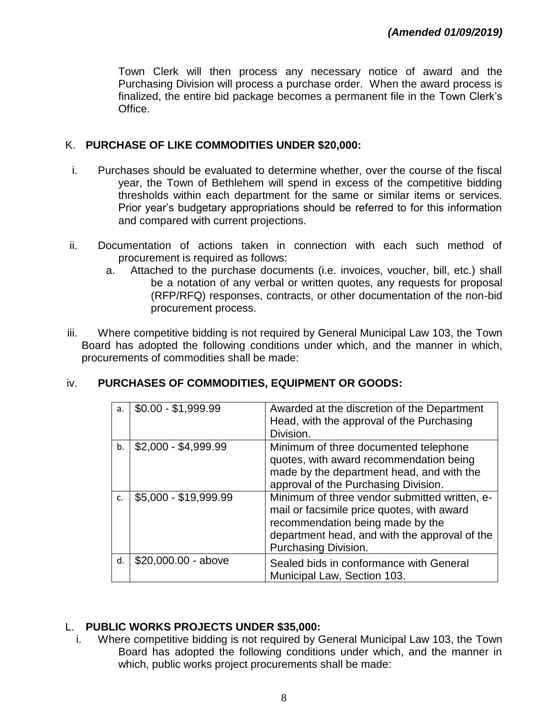Town Clerk will then process any necessary notice of award and the Purchasing Division will process a purchase order. When the award process is finalized, the entire bid package becomes a permanent file in the Town Clerk's Office.

#### K. **PURCHASE OF LIKE COMMODITIES UNDER \$20,000:**

- i. Purchases should be evaluated to determine whether, over the course of the fiscal year, the Town of Bethlehem will spend in excess of the competitive bidding thresholds within each department for the same or similar items or services. Prior year's budgetary appropriations should be referred to for this information and compared with current projections.
- ii. Documentation of actions taken in connection with each such method of procurement is required as follows:
	- a. Attached to the purchase documents (i.e. invoices, voucher, bill, etc.) shall be a notation of any verbal or written quotes, any requests for proposal (RFP/RFQ) responses, contracts, or other documentation of the non-bid procurement process.
- iii. Where competitive bidding is not required by General Municipal Law 103, the Town Board has adopted the following conditions under which, and the manner in which, procurements of commodities shall be made:

| a <sub>1</sub> | $$0.00 - $1,999.99$   | Awarded at the discretion of the Department<br>Head, with the approval of the Purchasing                                                                                                                 |
|----------------|-----------------------|----------------------------------------------------------------------------------------------------------------------------------------------------------------------------------------------------------|
| $h$ .          | $$2,000 - $4,999.99$  | Division.<br>Minimum of three documented telephone<br>quotes, with award recommendation being<br>made by the department head, and with the<br>approval of the Purchasing Division.                       |
| C.             | \$5,000 - \$19,999.99 | Minimum of three vendor submitted written, e-<br>mail or facsimile price quotes, with award<br>recommendation being made by the<br>department head, and with the approval of the<br>Purchasing Division. |
| d.             | \$20,000.00 - above   | Sealed bids in conformance with General<br>Municipal Law, Section 103.                                                                                                                                   |

## iv. **PURCHASES OF COMMODITIES, EQUIPMENT OR GOODS:**

## L. **PUBLIC WORKS PROJECTS UNDER \$35,000:**

i. Where competitive bidding is not required by General Municipal Law 103, the Town Board has adopted the following conditions under which, and the manner in which, public works project procurements shall be made: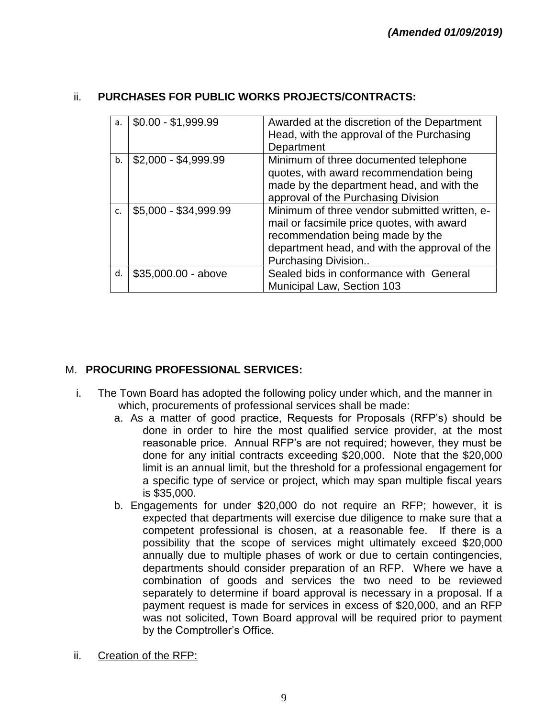### ii. **PURCHASES FOR PUBLIC WORKS PROJECTS/CONTRACTS:**

| a. | $$0.00 - $1,999.99$   | Awarded at the discretion of the Department   |  |  |
|----|-----------------------|-----------------------------------------------|--|--|
|    |                       | Head, with the approval of the Purchasing     |  |  |
|    |                       | Department                                    |  |  |
| b. | $$2,000 - $4,999.99$  | Minimum of three documented telephone         |  |  |
|    |                       | quotes, with award recommendation being       |  |  |
|    |                       | made by the department head, and with the     |  |  |
|    |                       | approval of the Purchasing Division           |  |  |
| c. | \$5,000 - \$34,999.99 | Minimum of three vendor submitted written, e- |  |  |
|    |                       | mail or facsimile price quotes, with award    |  |  |
|    |                       | recommendation being made by the              |  |  |
|    |                       | department head, and with the approval of the |  |  |
|    |                       | Purchasing Division                           |  |  |
| d. | $$35,000.00 - above$  | Sealed bids in conformance with General       |  |  |
|    |                       | Municipal Law, Section 103                    |  |  |

## M. **PROCURING PROFESSIONAL SERVICES:**

- i. The Town Board has adopted the following policy under which, and the manner in which, procurements of professional services shall be made:
	- a. As a matter of good practice, Requests for Proposals (RFP's) should be done in order to hire the most qualified service provider, at the most reasonable price. Annual RFP's are not required; however, they must be done for any initial contracts exceeding \$20,000. Note that the \$20,000 limit is an annual limit, but the threshold for a professional engagement for a specific type of service or project, which may span multiple fiscal years is \$35,000.
	- b. Engagements for under \$20,000 do not require an RFP; however, it is expected that departments will exercise due diligence to make sure that a competent professional is chosen, at a reasonable fee. If there is a possibility that the scope of services might ultimately exceed \$20,000 annually due to multiple phases of work or due to certain contingencies, departments should consider preparation of an RFP. Where we have a combination of goods and services the two need to be reviewed separately to determine if board approval is necessary in a proposal. If a payment request is made for services in excess of \$20,000, and an RFP was not solicited, Town Board approval will be required prior to payment by the Comptroller's Office.
- ii. Creation of the RFP: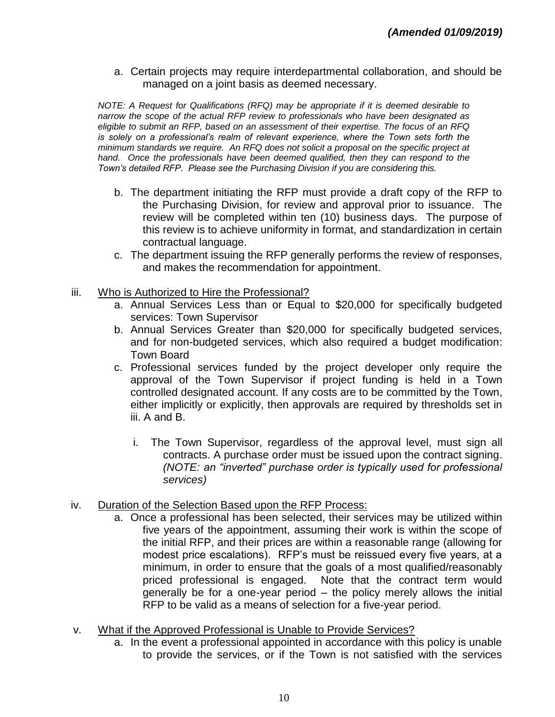a. Certain projects may require interdepartmental collaboration, and should be managed on a joint basis as deemed necessary.

*NOTE: A Request for Qualifications (RFQ) may be appropriate if it is deemed desirable to narrow the scope of the actual RFP review to professionals who have been designated as eligible to submit an RFP, based on an assessment of their expertise. The focus of an RFQ is solely on a professional's realm of relevant experience, where the Town sets forth the minimum standards we require. An RFQ does not solicit a proposal on the specific project at hand. Once the professionals have been deemed qualified, then they can respond to the Town's detailed RFP. Please see the Purchasing Division if you are considering this.*

- b. The department initiating the RFP must provide a draft copy of the RFP to the Purchasing Division, for review and approval prior to issuance. The review will be completed within ten (10) business days. The purpose of this review is to achieve uniformity in format, and standardization in certain contractual language.
- c. The department issuing the RFP generally performs the review of responses, and makes the recommendation for appointment.
- iii. Who is Authorized to Hire the Professional?
	- a. Annual Services Less than or Equal to \$20,000 for specifically budgeted services: Town Supervisor
	- b. Annual Services Greater than \$20,000 for specifically budgeted services, and for non-budgeted services, which also required a budget modification: Town Board
	- c. Professional services funded by the project developer only require the approval of the Town Supervisor if project funding is held in a Town controlled designated account. If any costs are to be committed by the Town, either implicitly or explicitly, then approvals are required by thresholds set in iii. A and B.
		- i. The Town Supervisor, regardless of the approval level, must sign all contracts. A purchase order must be issued upon the contract signing. *(NOTE: an "inverted" purchase order is typically used for professional services)*
- iv. Duration of the Selection Based upon the RFP Process:
	- a. Once a professional has been selected, their services may be utilized within five years of the appointment, assuming their work is within the scope of the initial RFP, and their prices are within a reasonable range (allowing for modest price escalations). RFP's must be reissued every five years, at a minimum, in order to ensure that the goals of a most qualified/reasonably priced professional is engaged. Note that the contract term would generally be for a one-year period – the policy merely allows the initial RFP to be valid as a means of selection for a five-year period.
- v. What if the Approved Professional is Unable to Provide Services?
	- a. In the event a professional appointed in accordance with this policy is unable to provide the services, or if the Town is not satisfied with the services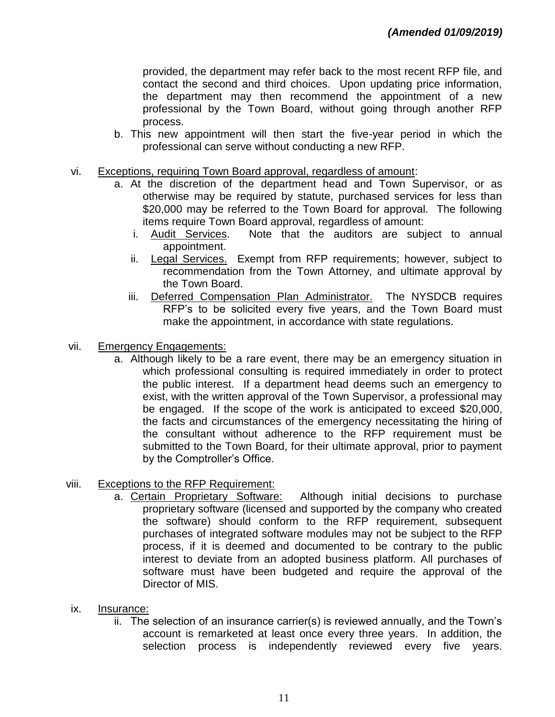provided, the department may refer back to the most recent RFP file, and contact the second and third choices. Upon updating price information, the department may then recommend the appointment of a new professional by the Town Board, without going through another RFP process.

- b. This new appointment will then start the five-year period in which the professional can serve without conducting a new RFP.
- vi. Exceptions, requiring Town Board approval, regardless of amount:
	- a. At the discretion of the department head and Town Supervisor, or as otherwise may be required by statute, purchased services for less than \$20,000 may be referred to the Town Board for approval. The following items require Town Board approval, regardless of amount:
		- i. Audit Services. Note that the auditors are subject to annual appointment.
		- ii. Legal Services. Exempt from RFP requirements; however, subject to recommendation from the Town Attorney, and ultimate approval by the Town Board.
		- iii. Deferred Compensation Plan Administrator. The NYSDCB requires RFP's to be solicited every five years, and the Town Board must make the appointment, in accordance with state regulations.
- vii. Emergency Engagements:
	- a. Although likely to be a rare event, there may be an emergency situation in which professional consulting is required immediately in order to protect the public interest. If a department head deems such an emergency to exist, with the written approval of the Town Supervisor, a professional may be engaged. If the scope of the work is anticipated to exceed \$20,000, the facts and circumstances of the emergency necessitating the hiring of the consultant without adherence to the RFP requirement must be submitted to the Town Board, for their ultimate approval, prior to payment by the Comptroller's Office.
- viii. Exceptions to the RFP Requirement:
	- a. Certain Proprietary Software: Although initial decisions to purchase proprietary software (licensed and supported by the company who created the software) should conform to the RFP requirement, subsequent purchases of integrated software modules may not be subject to the RFP process, if it is deemed and documented to be contrary to the public interest to deviate from an adopted business platform. All purchases of software must have been budgeted and require the approval of the Director of MIS.
- ix. Insurance:
	- ii. The selection of an insurance carrier(s) is reviewed annually, and the Town's account is remarketed at least once every three years. In addition, the selection process is independently reviewed every five years.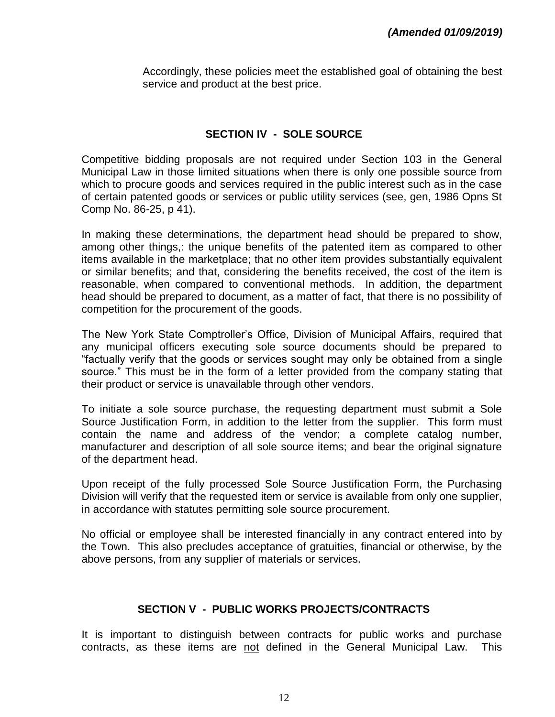Accordingly, these policies meet the established goal of obtaining the best service and product at the best price.

#### **SECTION IV - SOLE SOURCE**

Competitive bidding proposals are not required under Section 103 in the General Municipal Law in those limited situations when there is only one possible source from which to procure goods and services required in the public interest such as in the case of certain patented goods or services or public utility services (see, gen, 1986 Opns St Comp No. 86-25, p 41).

In making these determinations, the department head should be prepared to show, among other things,: the unique benefits of the patented item as compared to other items available in the marketplace; that no other item provides substantially equivalent or similar benefits; and that, considering the benefits received, the cost of the item is reasonable, when compared to conventional methods. In addition, the department head should be prepared to document, as a matter of fact, that there is no possibility of competition for the procurement of the goods.

The New York State Comptroller's Office, Division of Municipal Affairs, required that any municipal officers executing sole source documents should be prepared to "factually verify that the goods or services sought may only be obtained from a single source." This must be in the form of a letter provided from the company stating that their product or service is unavailable through other vendors.

To initiate a sole source purchase, the requesting department must submit a Sole Source Justification Form, in addition to the letter from the supplier. This form must contain the name and address of the vendor; a complete catalog number, manufacturer and description of all sole source items; and bear the original signature of the department head.

Upon receipt of the fully processed Sole Source Justification Form, the Purchasing Division will verify that the requested item or service is available from only one supplier, in accordance with statutes permitting sole source procurement.

No official or employee shall be interested financially in any contract entered into by the Town. This also precludes acceptance of gratuities, financial or otherwise, by the above persons, from any supplier of materials or services.

#### **SECTION V - PUBLIC WORKS PROJECTS/CONTRACTS**

It is important to distinguish between contracts for public works and purchase contracts, as these items are not defined in the General Municipal Law. This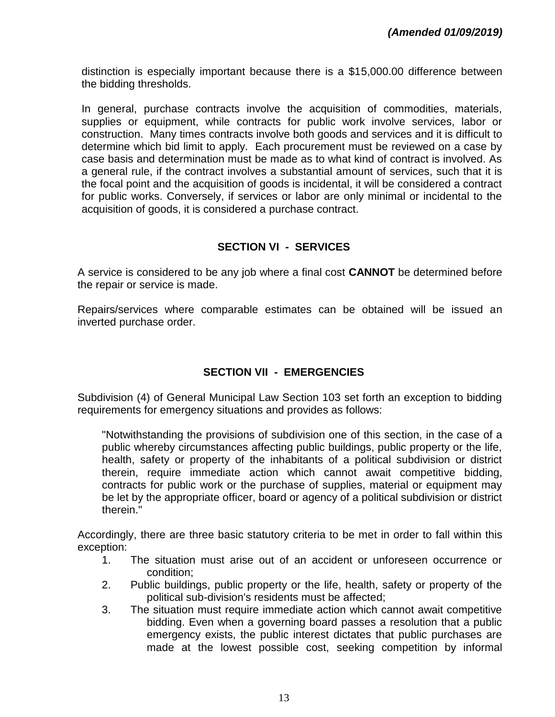distinction is especially important because there is a \$15,000.00 difference between the bidding thresholds.

In general, purchase contracts involve the acquisition of commodities, materials, supplies or equipment, while contracts for public work involve services, labor or construction. Many times contracts involve both goods and services and it is difficult to determine which bid limit to apply. Each procurement must be reviewed on a case by case basis and determination must be made as to what kind of contract is involved. As a general rule, if the contract involves a substantial amount of services, such that it is the focal point and the acquisition of goods is incidental, it will be considered a contract for public works. Conversely, if services or labor are only minimal or incidental to the acquisition of goods, it is considered a purchase contract.

#### **SECTION VI - SERVICES**

A service is considered to be any job where a final cost **CANNOT** be determined before the repair or service is made.

Repairs/services where comparable estimates can be obtained will be issued an inverted purchase order.

#### **SECTION VII - EMERGENCIES**

Subdivision (4) of General Municipal Law Section 103 set forth an exception to bidding requirements for emergency situations and provides as follows:

"Notwithstanding the provisions of subdivision one of this section, in the case of a public whereby circumstances affecting public buildings, public property or the life, health, safety or property of the inhabitants of a political subdivision or district therein, require immediate action which cannot await competitive bidding, contracts for public work or the purchase of supplies, material or equipment may be let by the appropriate officer, board or agency of a political subdivision or district therein."

Accordingly, there are three basic statutory criteria to be met in order to fall within this exception:

- 1. The situation must arise out of an accident or unforeseen occurrence or condition;
- 2. Public buildings, public property or the life, health, safety or property of the political sub-division's residents must be affected;
- 3. The situation must require immediate action which cannot await competitive bidding. Even when a governing board passes a resolution that a public emergency exists, the public interest dictates that public purchases are made at the lowest possible cost, seeking competition by informal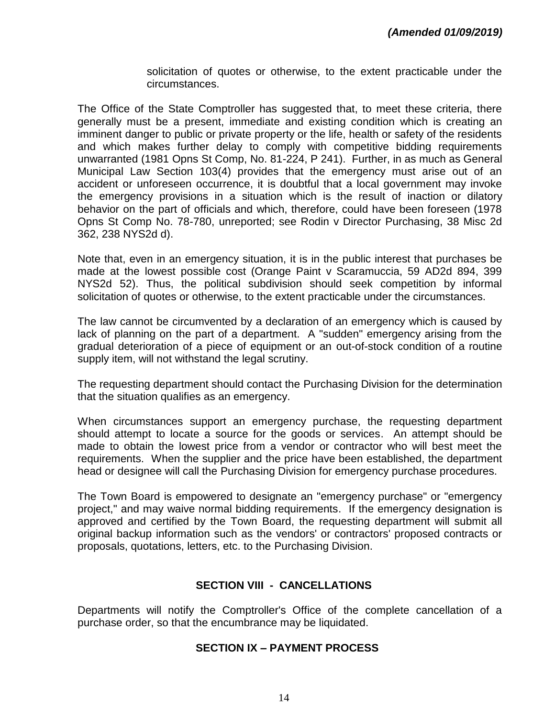solicitation of quotes or otherwise, to the extent practicable under the circumstances.

The Office of the State Comptroller has suggested that, to meet these criteria, there generally must be a present, immediate and existing condition which is creating an imminent danger to public or private property or the life, health or safety of the residents and which makes further delay to comply with competitive bidding requirements unwarranted (1981 Opns St Comp, No. 81-224, P 241). Further, in as much as General Municipal Law Section 103(4) provides that the emergency must arise out of an accident or unforeseen occurrence, it is doubtful that a local government may invoke the emergency provisions in a situation which is the result of inaction or dilatory behavior on the part of officials and which, therefore, could have been foreseen (1978 Opns St Comp No. 78-780, unreported; see Rodin v Director Purchasing, 38 Misc 2d 362, 238 NYS2d d).

Note that, even in an emergency situation, it is in the public interest that purchases be made at the lowest possible cost (Orange Paint v Scaramuccia, 59 AD2d 894, 399 NYS2d 52). Thus, the political subdivision should seek competition by informal solicitation of quotes or otherwise, to the extent practicable under the circumstances.

The law cannot be circumvented by a declaration of an emergency which is caused by lack of planning on the part of a department. A "sudden" emergency arising from the gradual deterioration of a piece of equipment or an out-of-stock condition of a routine supply item, will not withstand the legal scrutiny.

The requesting department should contact the Purchasing Division for the determination that the situation qualifies as an emergency.

When circumstances support an emergency purchase, the requesting department should attempt to locate a source for the goods or services. An attempt should be made to obtain the lowest price from a vendor or contractor who will best meet the requirements. When the supplier and the price have been established, the department head or designee will call the Purchasing Division for emergency purchase procedures.

The Town Board is empowered to designate an "emergency purchase" or "emergency project," and may waive normal bidding requirements. If the emergency designation is approved and certified by the Town Board, the requesting department will submit all original backup information such as the vendors' or contractors' proposed contracts or proposals, quotations, letters, etc. to the Purchasing Division.

#### **SECTION VIII - CANCELLATIONS**

Departments will notify the Comptroller's Office of the complete cancellation of a purchase order, so that the encumbrance may be liquidated.

#### **SECTION IX – PAYMENT PROCESS**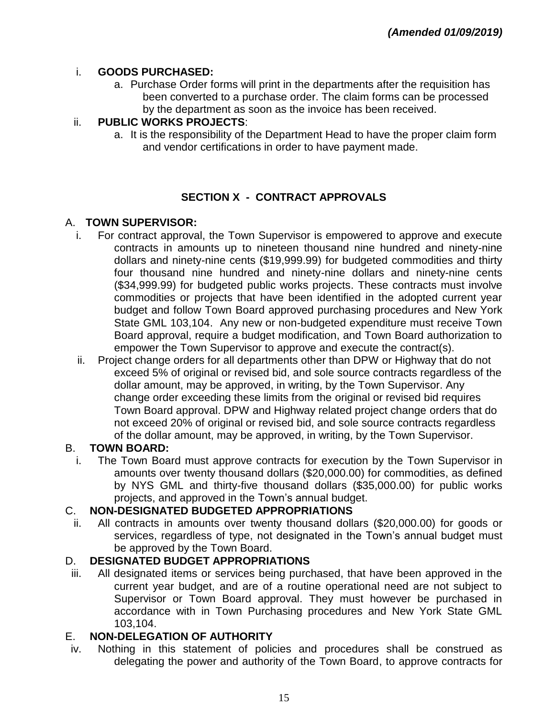## i. **GOODS PURCHASED:**

a. Purchase Order forms will print in the departments after the requisition has been converted to a purchase order. The claim forms can be processed by the department as soon as the invoice has been received.

# ii. **PUBLIC WORKS PROJECTS**:

a. It is the responsibility of the Department Head to have the proper claim form and vendor certifications in order to have payment made.

# **SECTION X - CONTRACT APPROVALS**

# A. **TOWN SUPERVISOR:**

- i. For contract approval, the Town Supervisor is empowered to approve and execute contracts in amounts up to nineteen thousand nine hundred and ninety-nine dollars and ninety-nine cents (\$19,999.99) for budgeted commodities and thirty four thousand nine hundred and ninety-nine dollars and ninety-nine cents (\$34,999.99) for budgeted public works projects. These contracts must involve commodities or projects that have been identified in the adopted current year budget and follow Town Board approved purchasing procedures and New York State GML 103,104. Any new or non-budgeted expenditure must receive Town Board approval, require a budget modification, and Town Board authorization to empower the Town Supervisor to approve and execute the contract(s).
- ii. Project change orders for all departments other than DPW or Highway that do not exceed 5% of original or revised bid, and sole source contracts regardless of the dollar amount, may be approved, in writing, by the Town Supervisor. Any change order exceeding these limits from the original or revised bid requires Town Board approval. DPW and Highway related project change orders that do not exceed 20% of original or revised bid, and sole source contracts regardless of the dollar amount, may be approved, in writing, by the Town Supervisor.

# B. **TOWN BOARD:**

i. The Town Board must approve contracts for execution by the Town Supervisor in amounts over twenty thousand dollars (\$20,000.00) for commodities, as defined by NYS GML and thirty-five thousand dollars (\$35,000.00) for public works projects, and approved in the Town's annual budget.

# C. **NON-DESIGNATED BUDGETED APPROPRIATIONS**

ii. All contracts in amounts over twenty thousand dollars (\$20,000.00) for goods or services, regardless of type, not designated in the Town's annual budget must be approved by the Town Board.

# D. **DESIGNATED BUDGET APPROPRIATIONS**

iii. All designated items or services being purchased, that have been approved in the current year budget, and are of a routine operational need are not subject to Supervisor or Town Board approval. They must however be purchased in accordance with in Town Purchasing procedures and New York State GML 103,104.

# E. **NON-DELEGATION OF AUTHORITY**

iv. Nothing in this statement of policies and procedures shall be construed as delegating the power and authority of the Town Board, to approve contracts for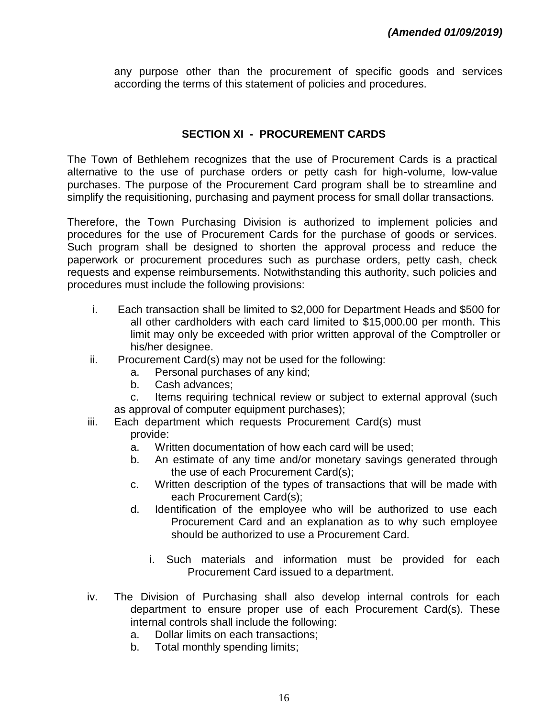any purpose other than the procurement of specific goods and services according the terms of this statement of policies and procedures.

#### **SECTION XI - PROCUREMENT CARDS**

The Town of Bethlehem recognizes that the use of Procurement Cards is a practical alternative to the use of purchase orders or petty cash for high-volume, low-value purchases. The purpose of the Procurement Card program shall be to streamline and simplify the requisitioning, purchasing and payment process for small dollar transactions.

Therefore, the Town Purchasing Division is authorized to implement policies and procedures for the use of Procurement Cards for the purchase of goods or services. Such program shall be designed to shorten the approval process and reduce the paperwork or procurement procedures such as purchase orders, petty cash, check requests and expense reimbursements. Notwithstanding this authority, such policies and procedures must include the following provisions:

- i. Each transaction shall be limited to \$2,000 for Department Heads and \$500 for all other cardholders with each card limited to \$15,000.00 per month. This limit may only be exceeded with prior written approval of the Comptroller or his/her designee.
- ii. Procurement Card(s) may not be used for the following:
	- a. Personal purchases of any kind;
	- b. Cash advances;
	- c. Items requiring technical review or subject to external approval (such as approval of computer equipment purchases);
- iii. Each department which requests Procurement Card(s) must provide:
	- a. Written documentation of how each card will be used;
	- b. An estimate of any time and/or monetary savings generated through the use of each Procurement Card(s);
	- c. Written description of the types of transactions that will be made with each Procurement Card(s);
	- d. Identification of the employee who will be authorized to use each Procurement Card and an explanation as to why such employee should be authorized to use a Procurement Card.
		- i. Such materials and information must be provided for each Procurement Card issued to a department.
- iv. The Division of Purchasing shall also develop internal controls for each department to ensure proper use of each Procurement Card(s). These internal controls shall include the following:
	- a. Dollar limits on each transactions;
	- b. Total monthly spending limits;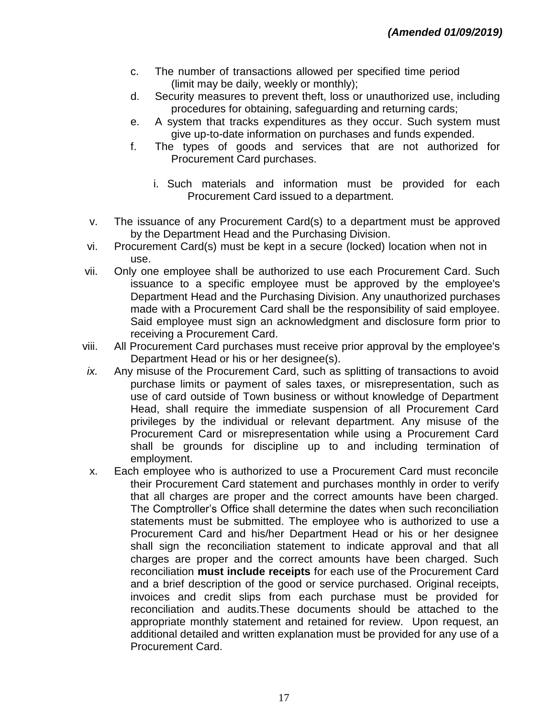- c. The number of transactions allowed per specified time period (limit may be daily, weekly or monthly);
- d. Security measures to prevent theft, loss or unauthorized use, including procedures for obtaining, safeguarding and returning cards;
- e. A system that tracks expenditures as they occur. Such system must give up-to-date information on purchases and funds expended.
- f. The types of goods and services that are not authorized for Procurement Card purchases.
	- i. Such materials and information must be provided for each Procurement Card issued to a department.
- v. The issuance of any Procurement Card(s) to a department must be approved by the Department Head and the Purchasing Division.
- vi. Procurement Card(s) must be kept in a secure (locked) location when not in use.
- vii. Only one employee shall be authorized to use each Procurement Card. Such issuance to a specific employee must be approved by the employee's Department Head and the Purchasing Division. Any unauthorized purchases made with a Procurement Card shall be the responsibility of said employee. Said employee must sign an acknowledgment and disclosure form prior to receiving a Procurement Card.
- viii. All Procurement Card purchases must receive prior approval by the employee's Department Head or his or her designee(s).
- *ix.* Any misuse of the Procurement Card, such as splitting of transactions to avoid purchase limits or payment of sales taxes, or misrepresentation, such as use of card outside of Town business or without knowledge of Department Head, shall require the immediate suspension of all Procurement Card privileges by the individual or relevant department. Any misuse of the Procurement Card or misrepresentation while using a Procurement Card shall be grounds for discipline up to and including termination of employment.
- x. Each employee who is authorized to use a Procurement Card must reconcile their Procurement Card statement and purchases monthly in order to verify that all charges are proper and the correct amounts have been charged. The Comptroller's Office shall determine the dates when such reconciliation statements must be submitted. The employee who is authorized to use a Procurement Card and his/her Department Head or his or her designee shall sign the reconciliation statement to indicate approval and that all charges are proper and the correct amounts have been charged. Such reconciliation **must include receipts** for each use of the Procurement Card and a brief description of the good or service purchased. Original receipts, invoices and credit slips from each purchase must be provided for reconciliation and audits.These documents should be attached to the appropriate monthly statement and retained for review. Upon request, an additional detailed and written explanation must be provided for any use of a Procurement Card.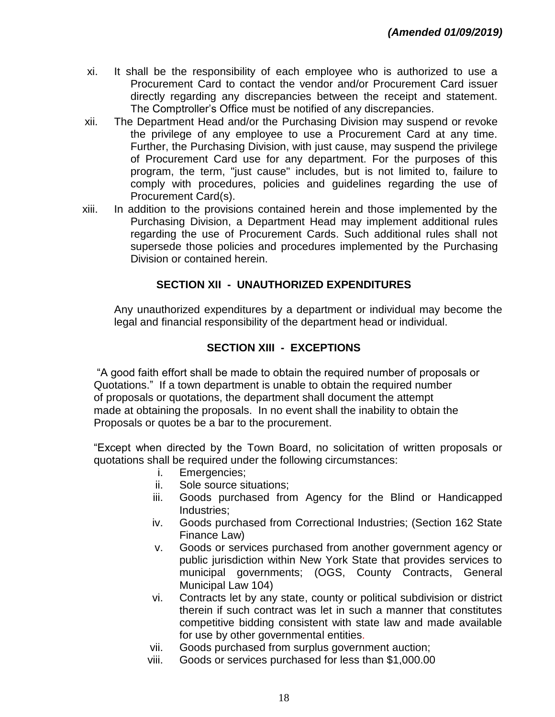- xi. It shall be the responsibility of each employee who is authorized to use a Procurement Card to contact the vendor and/or Procurement Card issuer directly regarding any discrepancies between the receipt and statement. The Comptroller's Office must be notified of any discrepancies.
- xii. The Department Head and/or the Purchasing Division may suspend or revoke the privilege of any employee to use a Procurement Card at any time. Further, the Purchasing Division, with just cause, may suspend the privilege of Procurement Card use for any department. For the purposes of this program, the term, "just cause" includes, but is not limited to, failure to comply with procedures, policies and guidelines regarding the use of Procurement Card(s).
- xiii. In addition to the provisions contained herein and those implemented by the Purchasing Division, a Department Head may implement additional rules regarding the use of Procurement Cards. Such additional rules shall not supersede those policies and procedures implemented by the Purchasing Division or contained herein.

## **SECTION XII - UNAUTHORIZED EXPENDITURES**

Any unauthorized expenditures by a department or individual may become the legal and financial responsibility of the department head or individual.

#### **SECTION XIII - EXCEPTIONS**

"A good faith effort shall be made to obtain the required number of proposals or Quotations." If a town department is unable to obtain the required number of proposals or quotations, the department shall document the attempt made at obtaining the proposals. In no event shall the inability to obtain the Proposals or quotes be a bar to the procurement.

"Except when directed by the Town Board, no solicitation of written proposals or quotations shall be required under the following circumstances:

- i. Emergencies;
- ii. Sole source situations;
- iii. Goods purchased from Agency for the Blind or Handicapped Industries;
- iv. Goods purchased from Correctional Industries; (Section 162 State Finance Law)
- v. Goods or services purchased from another government agency or public jurisdiction within New York State that provides services to municipal governments; (OGS, County Contracts, General Municipal Law 104)
- vi. Contracts let by any state, county or political subdivision or district therein if such contract was let in such a manner that constitutes competitive bidding consistent with state law and made available for use by other governmental entities.
- vii. Goods purchased from surplus government auction;
- viii. Goods or services purchased for less than \$1,000.00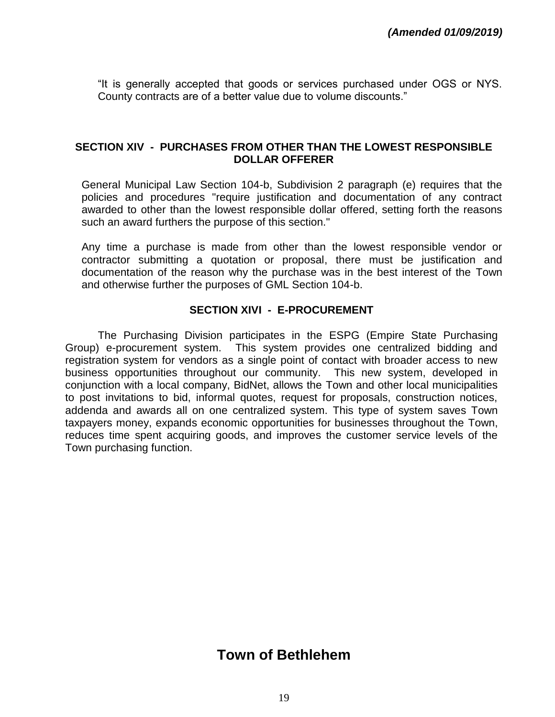"It is generally accepted that goods or services purchased under OGS or NYS. County contracts are of a better value due to volume discounts."

#### **SECTION XIV - PURCHASES FROM OTHER THAN THE LOWEST RESPONSIBLE DOLLAR OFFERER**

General Municipal Law Section 104-b, Subdivision 2 paragraph (e) requires that the policies and procedures "require justification and documentation of any contract awarded to other than the lowest responsible dollar offered, setting forth the reasons such an award furthers the purpose of this section."

Any time a purchase is made from other than the lowest responsible vendor or contractor submitting a quotation or proposal, there must be justification and documentation of the reason why the purchase was in the best interest of the Town and otherwise further the purposes of GML Section 104-b.

#### **SECTION XIVI - E-PROCUREMENT**

The Purchasing Division participates in the ESPG (Empire State Purchasing Group) e-procurement system. This system provides one centralized bidding and registration system for vendors as a single point of contact with broader access to new business opportunities throughout our community. This new system, developed in conjunction with a local company, BidNet, allows the Town and other local municipalities to post invitations to bid, informal quotes, request for proposals, construction notices, addenda and awards all on one centralized system. This type of system saves Town taxpayers money, expands economic opportunities for businesses throughout the Town, reduces time spent acquiring goods, and improves the customer service levels of the Town purchasing function.

# **Town of Bethlehem**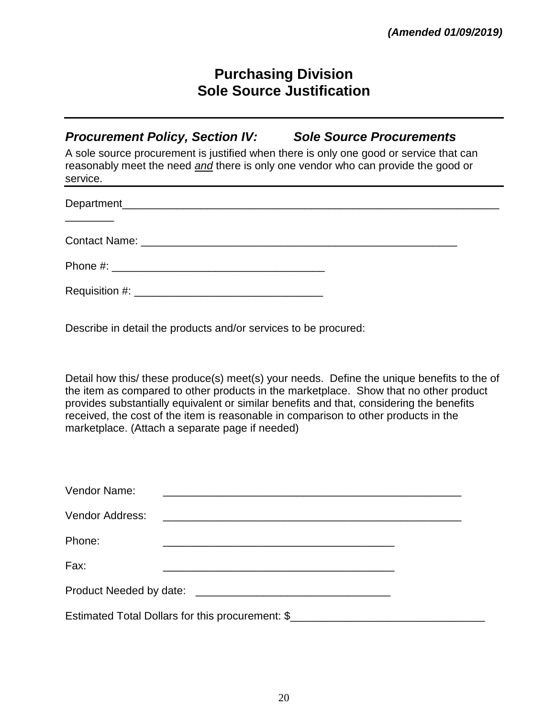# **Purchasing Division Sole Source Justification**

*Procurement Policy, Section IV: Sole Source Procurements*

A sole source procurement is justified when there is only one good or service that can reasonably meet the need *and* there is only one vendor who can provide the good or service.

| $\begin{tabular}{ccccccccc} \multicolumn{2}{c }{\textbf{1} & \textbf{2} & \textbf{3} & \textbf{4} & \textbf{5} & \textbf{5} & \textbf{6} & \textbf{6} & \textbf{7} & \textbf{8} & \textbf{8} & \textbf{9} & \textbf{10} & \textbf{10} & \textbf{10} & \textbf{10} & \textbf{10} & \textbf{10} & \textbf{10} & \textbf{10} & \textbf{10} & \textbf{10} & \textbf{10} & \textbf{10} & \textbf{10} & \textbf{10} & \textbf{$ |  |
|---------------------------------------------------------------------------------------------------------------------------------------------------------------------------------------------------------------------------------------------------------------------------------------------------------------------------------------------------------------------------------------------------------------------------|--|
|                                                                                                                                                                                                                                                                                                                                                                                                                           |  |
|                                                                                                                                                                                                                                                                                                                                                                                                                           |  |
|                                                                                                                                                                                                                                                                                                                                                                                                                           |  |

Describe in detail the products and/or services to be procured:

Detail how this/ these produce(s) meet(s) your needs. Define the unique benefits to the of the item as compared to other products in the marketplace. Show that no other product provides substantially equivalent or similar benefits and that, considering the benefits received, the cost of the item is reasonable in comparison to other products in the marketplace. (Attach a separate page if needed)

| Vendor Name:                                                                      |                                                                                                                      |  |  |  |  |  |
|-----------------------------------------------------------------------------------|----------------------------------------------------------------------------------------------------------------------|--|--|--|--|--|
| Vendor Address:                                                                   | <u> 1980 - Jan Samuel Barbara, margaret e populari e populari e populari e populari e populari e populari e popu</u> |  |  |  |  |  |
| Phone:                                                                            |                                                                                                                      |  |  |  |  |  |
| Fax:                                                                              |                                                                                                                      |  |  |  |  |  |
|                                                                                   |                                                                                                                      |  |  |  |  |  |
| Estimated Total Dollars for this procurement: \$_________________________________ |                                                                                                                      |  |  |  |  |  |